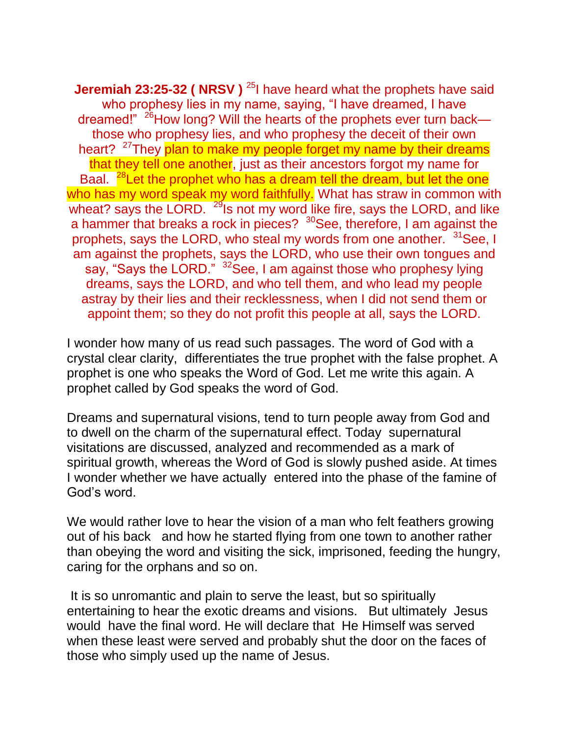**Jeremiah 23:25-32 ( NRSV )** <sup>25</sup>I have heard what the prophets have said who prophesy lies in my name, saying, "I have dreamed, I have dreamed!" <sup>26</sup>How long? Will the hearts of the prophets ever turn back those who prophesy lies, and who prophesy the deceit of their own heart? <sup>27</sup>They plan to make my people forget my name by their dreams that they tell one another, just as their ancestors forgot my name for Baal. <sup>28</sup>Let the prophet who has a dream tell the dream, but let the one who has my word speak my word faithfully. What has straw in common with wheat? says the LORD.  $^{29}$ Is not my word like fire, says the LORD, and like a hammer that breaks a rock in pieces?  $30$ See, therefore, I am against the prophets, says the LORD, who steal my words from one another. <sup>31</sup>See, I am against the prophets, says the LORD, who use their own tongues and say, "Says the LORD." <sup>32</sup>See, I am against those who prophesy lying dreams, says the LORD, and who tell them, and who lead my people astray by their lies and their recklessness, when I did not send them or appoint them; so they do not profit this people at all, says the LORD.

I wonder how many of us read such passages. The word of God with a crystal clear clarity, differentiates the true prophet with the false prophet. A prophet is one who speaks the Word of God. Let me write this again. A prophet called by God speaks the word of God.

Dreams and supernatural visions, tend to turn people away from God and to dwell on the charm of the supernatural effect. Today supernatural visitations are discussed, analyzed and recommended as a mark of spiritual growth, whereas the Word of God is slowly pushed aside. At times I wonder whether we have actually entered into the phase of the famine of God's word.

We would rather love to hear the vision of a man who felt feathers growing out of his back and how he started flying from one town to another rather than obeying the word and visiting the sick, imprisoned, feeding the hungry, caring for the orphans and so on.

It is so unromantic and plain to serve the least, but so spiritually entertaining to hear the exotic dreams and visions. But ultimately Jesus would have the final word. He will declare that He Himself was served when these least were served and probably shut the door on the faces of those who simply used up the name of Jesus.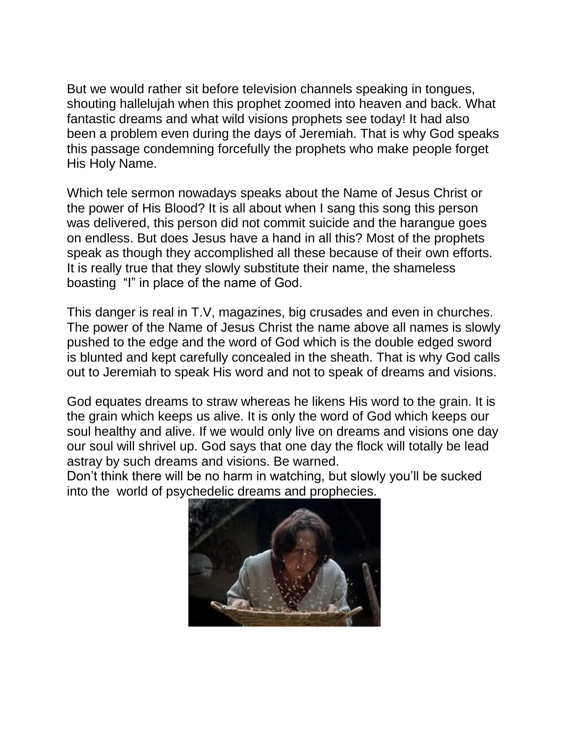But we would rather sit before television channels speaking in tongues, shouting hallelujah when this prophet zoomed into heaven and back. What fantastic dreams and what wild visions prophets see today! It had also been a problem even during the days of Jeremiah. That is why God speaks this passage condemning forcefully the prophets who make people forget His Holy Name.

Which tele sermon nowadays speaks about the Name of Jesus Christ or the power of His Blood? It is all about when I sang this song this person was delivered, this person did not commit suicide and the harangue goes on endless. But does Jesus have a hand in all this? Most of the prophets speak as though they accomplished all these because of their own efforts. It is really true that they slowly substitute their name, the shameless boasting "I" in place of the name of God.

This danger is real in T.V, magazines, big crusades and even in churches. The power of the Name of Jesus Christ the name above all names is slowly pushed to the edge and the word of God which is the double edged sword is blunted and kept carefully concealed in the sheath. That is why God calls out to Jeremiah to speak His word and not to speak of dreams and visions.

God equates dreams to straw whereas he likens His word to the grain. It is the grain which keeps us alive. It is only the word of God which keeps our soul healthy and alive. If we would only live on dreams and visions one day our soul will shrivel up. God says that one day the flock will totally be lead astray by such dreams and visions. Be warned.

Don't think there will be no harm in watching, but slowly you'll be sucked into the world of psychedelic dreams and prophecies.